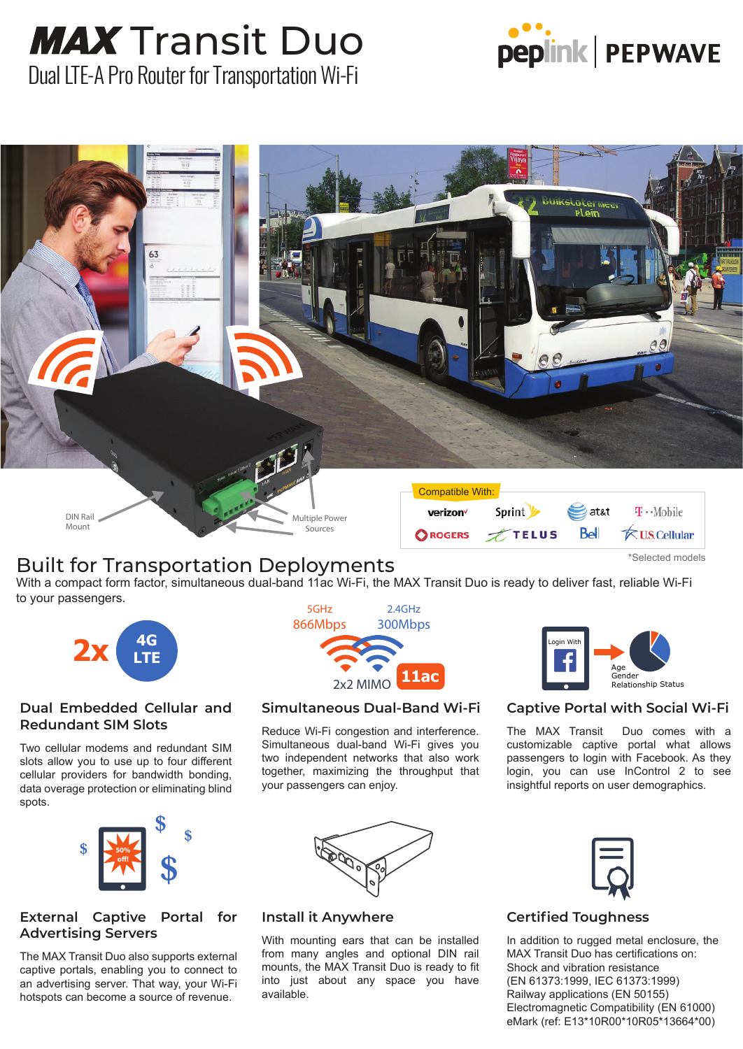# **MAX** Transit Duo



Dual LTE-A Pro Router for Transportation Wi-Fi



### Built for Transportation Deployments

With a compact form factor, simultaneous dual-band 11ac Wi-Fi, the MAX Transit Duo is ready to deliver fast, reliable Wi-Fi to your passengers.



#### **Dual Embedded Cellular and Redundant SIM Slots**

Two cellular modems and redundant SIM slots allow you to use up to four different cellular providers for bandwidth bonding, data overage protection or eliminating blind spots.



### **External Captive Portal for Advertising Servers**

The MAX Transit Duo also supports external captive portals, enabling you to connect to an advertising server. That way, your Wi-Fi hotspots can become a source of revenue.



#### **Simultaneous Dual-Band Wi-Fi**

Reduce Wi-Fi congestion and interference. Simultaneous dual-band Wi-Fi gives you two independent networks that also work together, maximizing the throughput that your passengers can enjoy.



### **Captive Portal with Social Wi-Fi**

The MAX Transit Duo comes with a customizable captive portal what allows passengers to login with Facebook. As they login, you can use InControl 2 to see insightful reports on user demographics.



#### **Install it Anywhere**

With mounting ears that can be installed from many angles and optional DIN rail mounts, the MAX Transit Duo is ready to fit into just about any space you have available.



### **Certified Toughness**

In addition to rugged metal enclosure, the MAX Transit Duo has certifications on: Shock and vibration resistance (EN 61373:1999, IEC 61373:1999) Railway applications (EN 50155) Electromagnetic Compatibility (EN 61000) eMark (ref: E13\*10R00\*10R05\*13664\*00)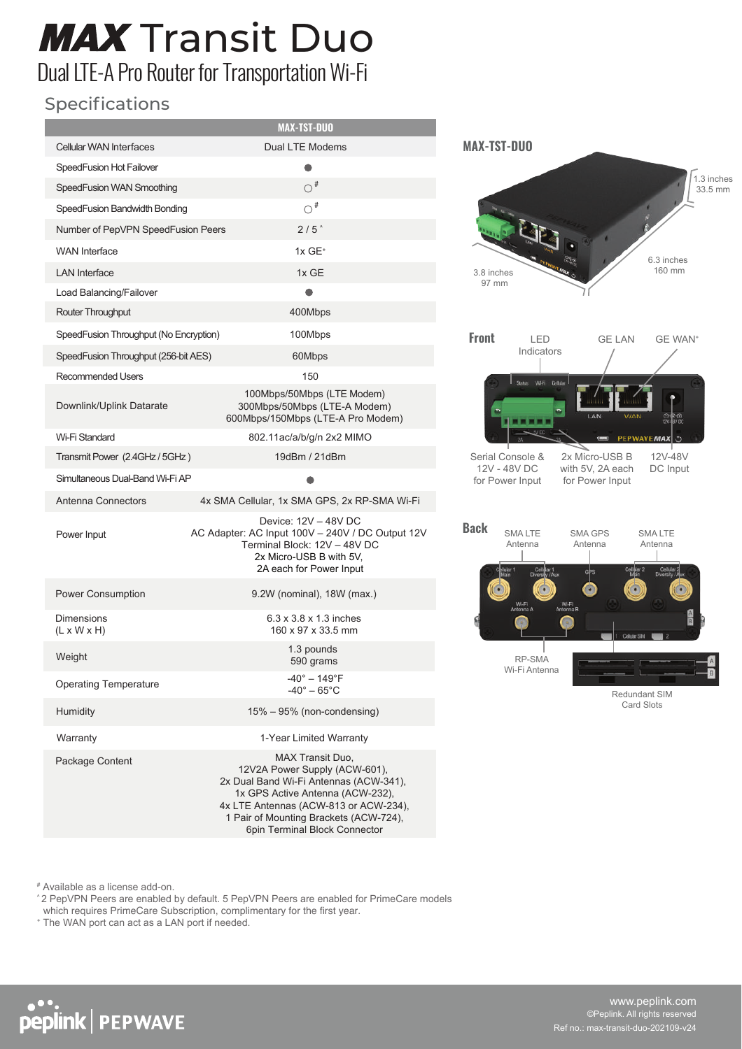# **MAX** Transit Duo

## Dual LTE-A Pro Router for Transportation Wi-Fi

### Specifications

I

|                                              | <b>MAX-TST-DUO</b>                                                                                                                                                                                                                                  |
|----------------------------------------------|-----------------------------------------------------------------------------------------------------------------------------------------------------------------------------------------------------------------------------------------------------|
| <b>Cellular WAN Interfaces</b>               | Dual LTE Modems                                                                                                                                                                                                                                     |
| SpeedFusion Hot Failover                     | $\bullet$                                                                                                                                                                                                                                           |
| SpeedFusion WAN Smoothing                    | $\bigcirc$ #                                                                                                                                                                                                                                        |
| SpeedFusion Bandwidth Bonding                | $\bigcirc$ #                                                                                                                                                                                                                                        |
| Number of PepVPN SpeedFusion Peers           | 2/5                                                                                                                                                                                                                                                 |
| <b>WAN</b> Interface                         | $1x$ GE <sup>+</sup>                                                                                                                                                                                                                                |
| <b>LAN</b> Interface                         | 1x GE                                                                                                                                                                                                                                               |
| Load Balancing/Failover                      |                                                                                                                                                                                                                                                     |
| Router Throughput                            | 400Mbps                                                                                                                                                                                                                                             |
| SpeedFusion Throughput (No Encryption)       | 100Mbps                                                                                                                                                                                                                                             |
| SpeedFusion Throughput (256-bit AES)         | 60Mbps                                                                                                                                                                                                                                              |
| <b>Recommended Users</b>                     | 150                                                                                                                                                                                                                                                 |
| Downlink/Uplink Datarate                     | 100Mbps/50Mbps (LTE Modem)<br>300Mbps/50Mbps (LTE-A Modem)<br>600Mbps/150Mbps (LTE-A Pro Modem)                                                                                                                                                     |
| Wi-Fi Standard                               | 802.11ac/a/b/q/n 2x2 MIMO                                                                                                                                                                                                                           |
| Transmit Power (2.4GHz / 5GHz)               | 19dBm / 21dBm                                                                                                                                                                                                                                       |
| Simultaneous Dual-Band Wi-Fi AP              |                                                                                                                                                                                                                                                     |
| Antenna Connectors                           | 4x SMA Cellular, 1x SMA GPS, 2x RP-SMA Wi-Fi                                                                                                                                                                                                        |
| Power Input                                  | Device: 12V - 48V DC<br>AC Adapter: AC Input 100V - 240V / DC Output 12V<br>Terminal Block: 12V - 48V DC<br>2x Micro-USB B with 5V.<br>2A each for Power Input                                                                                      |
| <b>Power Consumption</b>                     | 9.2W (nominal), 18W (max.)                                                                                                                                                                                                                          |
| <b>Dimensions</b><br>$(L \times W \times H)$ | $6.3 \times 3.8 \times 1.3$ inches<br>160 x 97 x 33.5 mm                                                                                                                                                                                            |
| Weight                                       | 1.3 pounds<br>590 grams                                                                                                                                                                                                                             |
| <b>Operating Temperature</b>                 | $40^\circ - 149^\circ F$<br>$-40^\circ - 65^\circ \text{C}$                                                                                                                                                                                         |
| Humidity                                     | 15% – 95% (non-condensing)                                                                                                                                                                                                                          |
| Warranty                                     | 1-Year Limited Warranty                                                                                                                                                                                                                             |
| Package Content                              | MAX Transit Duo,<br>12V2A Power Supply (ACW-601),<br>2x Dual Band Wi-Fi Antennas (ACW-341),<br>1x GPS Active Antenna (ACW-232),<br>4x LTE Antennas (ACW-813 or ACW-234),<br>1 Pair of Mounting Brackets (ACW-724),<br>6pin Terminal Block Connector |



Redundant SIM Card Slots

# Available as a license add-on.

peplink | PEPWAVE

^2 PepVPN Peers are enabled by default. 5 PepVPN Peers are enabled for PrimeCare models which requires PrimeCare Subscription, complimentary for the first year.

+ The WAN port can act as a LAN port if needed.